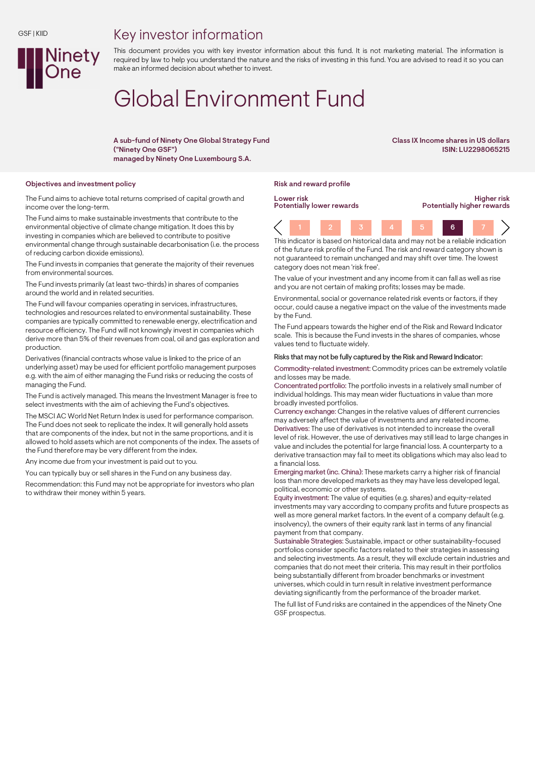## Key investor information



This document provides you with key investor information about this fund. It is not marketing material. The information is required by law to help you understand the nature and the risks of investing in this fund. You are advised to read it so you can make an informed decision about whether to invest.

# Global Environment Fund

A sub-fund of Ninety One Global Strategy Fund ("Ninety One GSF") managed by Ninety One Luxembourg S.A.

Class IX Income shares in US dollars ISIN: LU2298065215

#### Objectives and investment policy and reward profile reward profile reward profile

The Fund aims to achieve total returns comprised of capital growth and income over the long-term.

The Fund aims to make sustainable investments that contribute to the environmental objective of climate change mitigation. It does this by investing in companies which are believed to contribute to positive environmental change through sustainable decarbonisation (i.e. the process of reducing carbon dioxide emissions).

The Fund invests in companies that generate the majority of their revenues from environmental sources.

The Fund invests primarily (at least two-thirds) in shares of companies around the world and in related securities.

The Fund will favour companies operating in services, infrastructures, technologies and resources related to environmental sustainability. These companies are typically committed to renewable energy, electrification and resource efficiency. The Fund will not knowingly invest in companies which derive more than 5% of their revenues from coal, oil and gas exploration and production.

Derivatives (financial contracts whose value is linked to the price of an underlying asset) may be used for efficient portfolio management purposes e.g. with the aim of either managing the Fund risks or reducing the costs of managing the Fund.

The Fund is actively managed. This means the Investment Manager is free to select investments with the aim of achieving the Fund's objectives.

The MSCI AC World Net Return Index is used for performance comparison. The Fund does not seek to replicate the index. It will generally hold assets that are components of the index, but not in the same proportions, and it is allowed to hold assets which are not components of the index. The assets of the Fund therefore may be very different from the index.

Any income due from your investment is paid out to you.

You can typically buy or sell shares in the Fund on any business day.

Recommendation: this Fund may not be appropriate for investors who plan to withdraw their money within 5 years.

Lower risk Potentially lower rewards

Higher risk Potentially higher rewards

1 2 3 4 5 6 7 This indicator is based on historical data and may not be a reliable indication

of the future risk profile of the Fund. The risk and reward category shown is not guaranteed to remain unchanged and may shift over time. The lowest category does not mean 'risk free'.

The value of your investment and any income from it can fall as well as rise and you are not certain of making profits; losses may be made.

Environmental, social or governance related risk events or factors, if they occur, could cause a negative impact on the value of the investments made by the Fund.

The Fund appears towards the higher end of the Risk and Reward Indicator scale. This is because the Fund invests in the shares of companies, whose values tend to fluctuate widely.

#### Risks that may not be fully captured by the Risk and Reward Indicator:

Commodity-related investment: Commodity prices can be extremely volatile and losses may be made.

Concentrated portfolio: The portfolio invests in a relatively small number of individual holdings. This may mean wider fluctuations in value than more broadly invested portfolios.

Currency exchange: Changes in the relative values of different currencies may adversely affect the value of investments and any related income. Derivatives: The use of derivatives is not intended to increase the overall level of risk. However, the use of derivatives may still lead to large changes in value and includes the potential for large financial loss. A counterparty to a derivative transaction may fail to meet its obligations which may also lead to a financial loss.

Emerging market (inc. China): These markets carry a higher risk of financial loss than more developed markets as they may have less developed legal, political, economic or other systems.

Equity investment: The value of equities (e.g. shares) and equity-related investments may vary according to company profits and future prospects as well as more general market factors. In the event of a company default (e.g. insolvency), the owners of their equity rank last in terms of any financial payment from that company.

Sustainable Strategies: Sustainable, impact or other sustainability-focused portfolios consider specific factors related to their strategies in assessing and selecting investments. As a result, they will exclude certain industries and companies that do not meet their criteria. This may result in their portfolios being substantially different from broader benchmarks or investment universes, which could in turn result in relative investment performance deviating significantly from the performance of the broader market.

The full list of Fund risks are contained in the appendices of the Ninety One GSF prospectus.